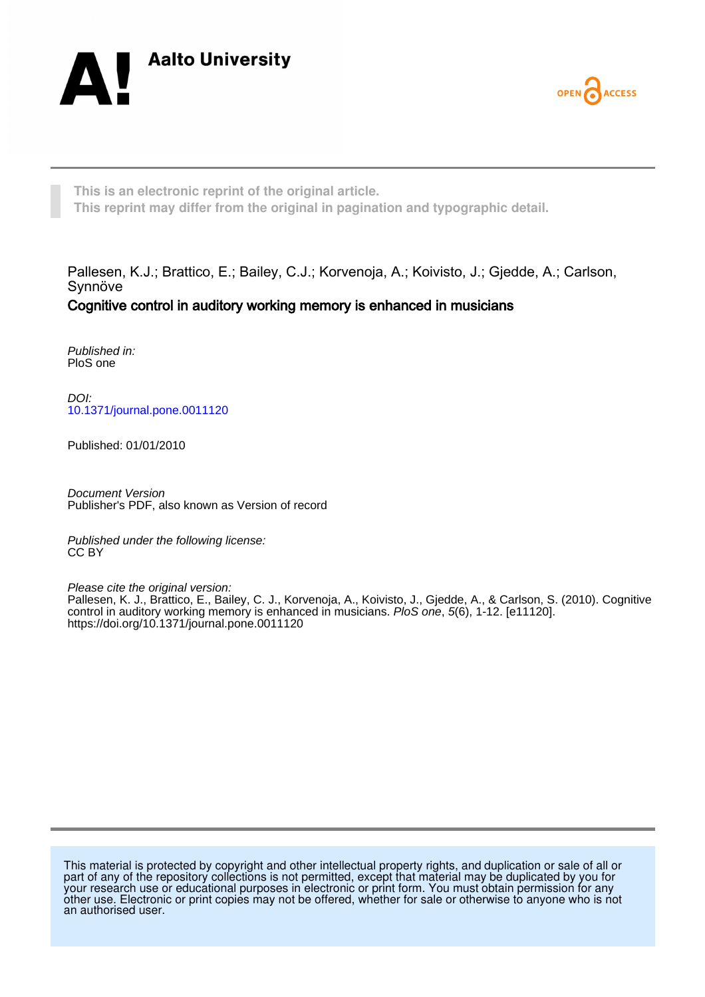



**This is an electronic reprint of the original article. This reprint may differ from the original in pagination and typographic detail.**

Pallesen, K.J.; Brattico, E.; Bailey, C.J.; Korvenoja, A.; Koivisto, J.; Gjedde, A.; Carlson, Synnöve Cognitive control in auditory working memory is enhanced in musicians

Published in: PloS one

DOI: [10.1371/journal.pone.0011120](https://doi.org/10.1371/journal.pone.0011120)

Published: 01/01/2010

Document Version Publisher's PDF, also known as Version of record

Published under the following license: CC BY

Please cite the original version: Pallesen, K. J., Brattico, E., Bailey, C. J., Korvenoja, A., Koivisto, J., Gjedde, A., & Carlson, S. (2010). Cognitive control in auditory working memory is enhanced in musicians. PloS one, 5(6), 1-12. [e11120]. <https://doi.org/10.1371/journal.pone.0011120>

This material is protected by copyright and other intellectual property rights, and duplication or sale of all or part of any of the repository collections is not permitted, except that material may be duplicated by you for your research use or educational purposes in electronic or print form. You must obtain permission for any other use. Electronic or print copies may not be offered, whether for sale or otherwise to anyone who is not an authorised user.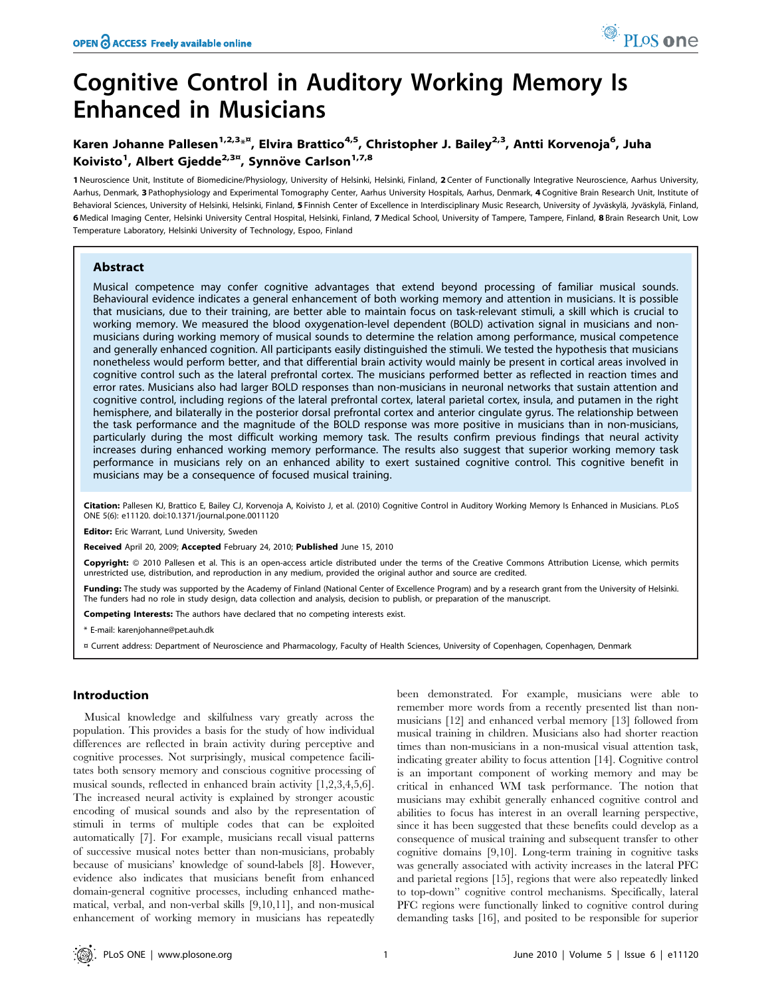# Cognitive Control in Auditory Working Memory Is Enhanced in Musicians

# Karen Johanne Pallesen<sup>1,2,3</sup>\*<sup>¤</sup>, Elvira Brattico<sup>4,5</sup>, Christopher J. Bailey<sup>2,3</sup>, Antti Korvenoja<sup>6</sup>, Juha Koivisto<sup>1</sup>, Albert Gjedde<sup>2,3¤</sup>, Synnöve Carlson<sup>1,7,8</sup>

1 Neuroscience Unit, Institute of Biomedicine/Physiology, University of Helsinki, Helsinki, Finland, 2 Center of Functionally Integrative Neuroscience, Aarhus University, Aarhus, Denmark, 3 Pathophysiology and Experimental Tomography Center, Aarhus University Hospitals, Aarhus, Denmark, 4 Cognitive Brain Research Unit, Institute of Behavioral Sciences, University of Helsinki, Helsinki, Finland, 5 Finnish Center of Excellence in Interdisciplinary Music Research, University of Jyväskylä, Jyväskylä, Finland, 6 Medical Imaging Center, Helsinki University Central Hospital, Helsinki, Finland, 7 Medical School, University of Tampere, Tampere, Finland, 8 Brain Research Unit, Low Temperature Laboratory, Helsinki University of Technology, Espoo, Finland

# Abstract

Musical competence may confer cognitive advantages that extend beyond processing of familiar musical sounds. Behavioural evidence indicates a general enhancement of both working memory and attention in musicians. It is possible that musicians, due to their training, are better able to maintain focus on task-relevant stimuli, a skill which is crucial to working memory. We measured the blood oxygenation-level dependent (BOLD) activation signal in musicians and nonmusicians during working memory of musical sounds to determine the relation among performance, musical competence and generally enhanced cognition. All participants easily distinguished the stimuli. We tested the hypothesis that musicians nonetheless would perform better, and that differential brain activity would mainly be present in cortical areas involved in cognitive control such as the lateral prefrontal cortex. The musicians performed better as reflected in reaction times and error rates. Musicians also had larger BOLD responses than non-musicians in neuronal networks that sustain attention and cognitive control, including regions of the lateral prefrontal cortex, lateral parietal cortex, insula, and putamen in the right hemisphere, and bilaterally in the posterior dorsal prefrontal cortex and anterior cingulate gyrus. The relationship between the task performance and the magnitude of the BOLD response was more positive in musicians than in non-musicians, particularly during the most difficult working memory task. The results confirm previous findings that neural activity increases during enhanced working memory performance. The results also suggest that superior working memory task performance in musicians rely on an enhanced ability to exert sustained cognitive control. This cognitive benefit in musicians may be a consequence of focused musical training.

Citation: Pallesen KJ, Brattico E, Bailey CJ, Korvenoja A, Koivisto J, et al. (2010) Cognitive Control in Auditory Working Memory Is Enhanced in Musicians. PLoS ONE 5(6): e11120. doi:10.1371/journal.pone.0011120

Editor: Eric Warrant, Lund University, Sweden

Received April 20, 2009; Accepted February 24, 2010; Published June 15, 2010

Copyright: © 2010 Pallesen et al. This is an open-access article distributed under the terms of the Creative Commons Attribution License, which permits unrestricted use, distribution, and reproduction in any medium, provided the original author and source are credited.

Funding: The study was supported by the Academy of Finland (National Center of Excellence Program) and by a research grant from the University of Helsinki. The funders had no role in study design, data collection and analysis, decision to publish, or preparation of the manuscript.

Competing Interests: The authors have declared that no competing interests exist.

\* E-mail: karenjohanne@pet.auh.dk

¤ Current address: Department of Neuroscience and Pharmacology, Faculty of Health Sciences, University of Copenhagen, Copenhagen, Denmark

# Introduction

Musical knowledge and skilfulness vary greatly across the population. This provides a basis for the study of how individual differences are reflected in brain activity during perceptive and cognitive processes. Not surprisingly, musical competence facilitates both sensory memory and conscious cognitive processing of musical sounds, reflected in enhanced brain activity [1,2,3,4,5,6]. The increased neural activity is explained by stronger acoustic encoding of musical sounds and also by the representation of stimuli in terms of multiple codes that can be exploited automatically [7]. For example, musicians recall visual patterns of successive musical notes better than non-musicians, probably because of musicians' knowledge of sound-labels [8]. However, evidence also indicates that musicians benefit from enhanced domain-general cognitive processes, including enhanced mathematical, verbal, and non-verbal skills [9,10,11], and non-musical enhancement of working memory in musicians has repeatedly

been demonstrated. For example, musicians were able to remember more words from a recently presented list than nonmusicians [12] and enhanced verbal memory [13] followed from musical training in children. Musicians also had shorter reaction times than non-musicians in a non-musical visual attention task, indicating greater ability to focus attention [14]. Cognitive control is an important component of working memory and may be critical in enhanced WM task performance. The notion that musicians may exhibit generally enhanced cognitive control and abilities to focus has interest in an overall learning perspective, since it has been suggested that these benefits could develop as a consequence of musical training and subsequent transfer to other cognitive domains [9,10]. Long-term training in cognitive tasks was generally associated with activity increases in the lateral PFC and parietal regions [15], regions that were also repeatedly linked to top-down'' cognitive control mechanisms. Specifically, lateral PFC regions were functionally linked to cognitive control during demanding tasks [16], and posited to be responsible for superior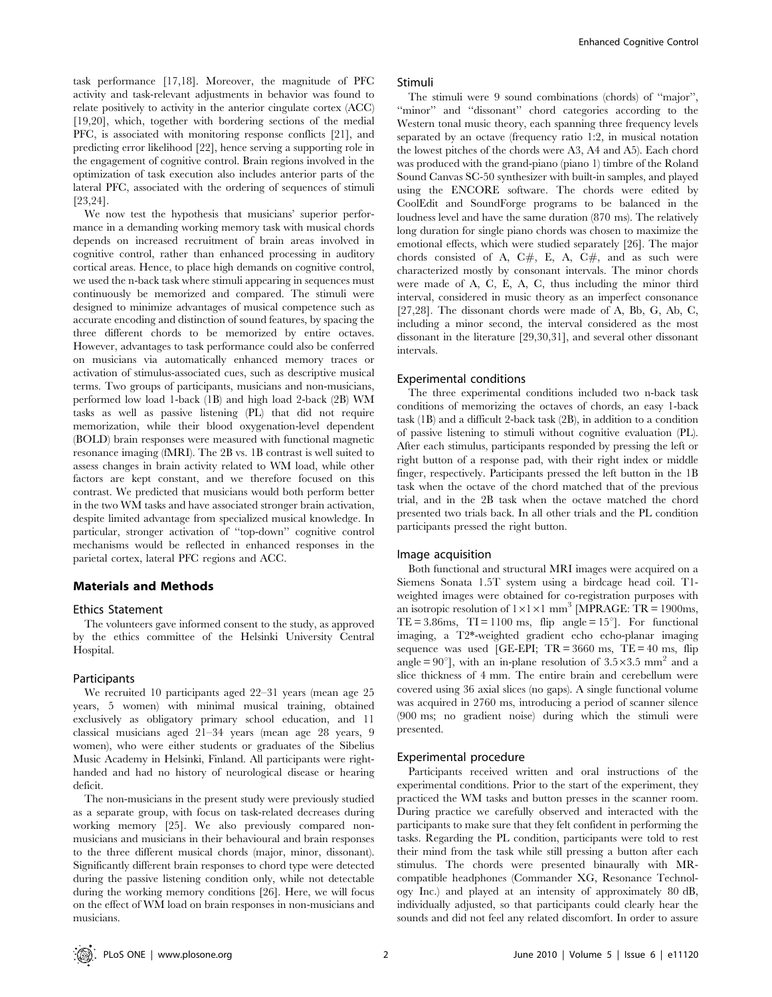task performance [17,18]. Moreover, the magnitude of PFC activity and task-relevant adjustments in behavior was found to relate positively to activity in the anterior cingulate cortex (ACC) [19,20], which, together with bordering sections of the medial PFC, is associated with monitoring response conflicts [21], and predicting error likelihood [22], hence serving a supporting role in the engagement of cognitive control. Brain regions involved in the optimization of task execution also includes anterior parts of the lateral PFC, associated with the ordering of sequences of stimuli [23,24].

We now test the hypothesis that musicians' superior performance in a demanding working memory task with musical chords depends on increased recruitment of brain areas involved in cognitive control, rather than enhanced processing in auditory cortical areas. Hence, to place high demands on cognitive control, we used the n-back task where stimuli appearing in sequences must continuously be memorized and compared. The stimuli were designed to minimize advantages of musical competence such as accurate encoding and distinction of sound features, by spacing the three different chords to be memorized by entire octaves. However, advantages to task performance could also be conferred on musicians via automatically enhanced memory traces or activation of stimulus-associated cues, such as descriptive musical terms. Two groups of participants, musicians and non-musicians, performed low load 1-back (1B) and high load 2-back (2B) WM tasks as well as passive listening (PL) that did not require memorization, while their blood oxygenation-level dependent (BOLD) brain responses were measured with functional magnetic resonance imaging (fMRI). The 2B vs. 1B contrast is well suited to assess changes in brain activity related to WM load, while other factors are kept constant, and we therefore focused on this contrast. We predicted that musicians would both perform better in the two WM tasks and have associated stronger brain activation, despite limited advantage from specialized musical knowledge. In particular, stronger activation of ''top-down'' cognitive control mechanisms would be reflected in enhanced responses in the parietal cortex, lateral PFC regions and ACC.

# Materials and Methods

#### Ethics Statement

The volunteers gave informed consent to the study, as approved by the ethics committee of the Helsinki University Central Hospital.

#### Participants

We recruited 10 participants aged 22–31 years (mean age 25 years, 5 women) with minimal musical training, obtained exclusively as obligatory primary school education, and 11 classical musicians aged 21–34 years (mean age 28 years, 9 women), who were either students or graduates of the Sibelius Music Academy in Helsinki, Finland. All participants were righthanded and had no history of neurological disease or hearing deficit.

The non-musicians in the present study were previously studied as a separate group, with focus on task-related decreases during working memory [25]. We also previously compared nonmusicians and musicians in their behavioural and brain responses to the three different musical chords (major, minor, dissonant). Significantly different brain responses to chord type were detected during the passive listening condition only, while not detectable during the working memory conditions [26]. Here, we will focus on the effect of WM load on brain responses in non-musicians and musicians.

#### Stimuli

The stimuli were 9 sound combinations (chords) of ''major'', "minor" and "dissonant" chord categories according to the Western tonal music theory, each spanning three frequency levels separated by an octave (frequency ratio 1:2, in musical notation the lowest pitches of the chords were A3, A4 and A5). Each chord was produced with the grand-piano (piano 1) timbre of the Roland Sound Canvas SC-50 synthesizer with built-in samples, and played using the ENCORE software. The chords were edited by CoolEdit and SoundForge programs to be balanced in the loudness level and have the same duration (870 ms). The relatively long duration for single piano chords was chosen to maximize the emotional effects, which were studied separately [26]. The major chords consisted of A,  $C#$ , E, A,  $C#$ , and as such were characterized mostly by consonant intervals. The minor chords were made of A, C, E, A, C, thus including the minor third interval, considered in music theory as an imperfect consonance [27,28]. The dissonant chords were made of A, Bb, G, Ab, C, including a minor second, the interval considered as the most dissonant in the literature [29,30,31], and several other dissonant intervals.

# Experimental conditions

The three experimental conditions included two n-back task conditions of memorizing the octaves of chords, an easy 1-back task (1B) and a difficult 2-back task (2B), in addition to a condition of passive listening to stimuli without cognitive evaluation (PL). After each stimulus, participants responded by pressing the left or right button of a response pad, with their right index or middle finger, respectively. Participants pressed the left button in the 1B task when the octave of the chord matched that of the previous trial, and in the 2B task when the octave matched the chord presented two trials back. In all other trials and the PL condition participants pressed the right button.

#### Image acquisition

Both functional and structural MRI images were acquired on a Siemens Sonata 1.5T system using a birdcage head coil. T1 weighted images were obtained for co-registration purposes with an isotropic resolution of  $1 \times 1 \times 1$  mm<sup>3</sup> [MPRAGE: TR = 1900ms, TE = 3.86ms, TI = 1100 ms, flip angle =  $15^{\circ}$ ]. For functional imaging, a T2\*-weighted gradient echo echo-planar imaging sequence was used [GE-EPI;  $TR = 3660$  ms,  $TE = 40$  ms, flip angle =  $90^{\circ}$ ], with an in-plane resolution of  $3.5 \times 3.5$  mm<sup>2</sup> and a slice thickness of 4 mm. The entire brain and cerebellum were covered using 36 axial slices (no gaps). A single functional volume was acquired in 2760 ms, introducing a period of scanner silence (900 ms; no gradient noise) during which the stimuli were presented.

#### Experimental procedure

Participants received written and oral instructions of the experimental conditions. Prior to the start of the experiment, they practiced the WM tasks and button presses in the scanner room. During practice we carefully observed and interacted with the participants to make sure that they felt confident in performing the tasks. Regarding the PL condition, participants were told to rest their mind from the task while still pressing a button after each stimulus. The chords were presented binaurally with MRcompatible headphones (Commander XG, Resonance Technology Inc.) and played at an intensity of approximately 80 dB, individually adjusted, so that participants could clearly hear the sounds and did not feel any related discomfort. In order to assure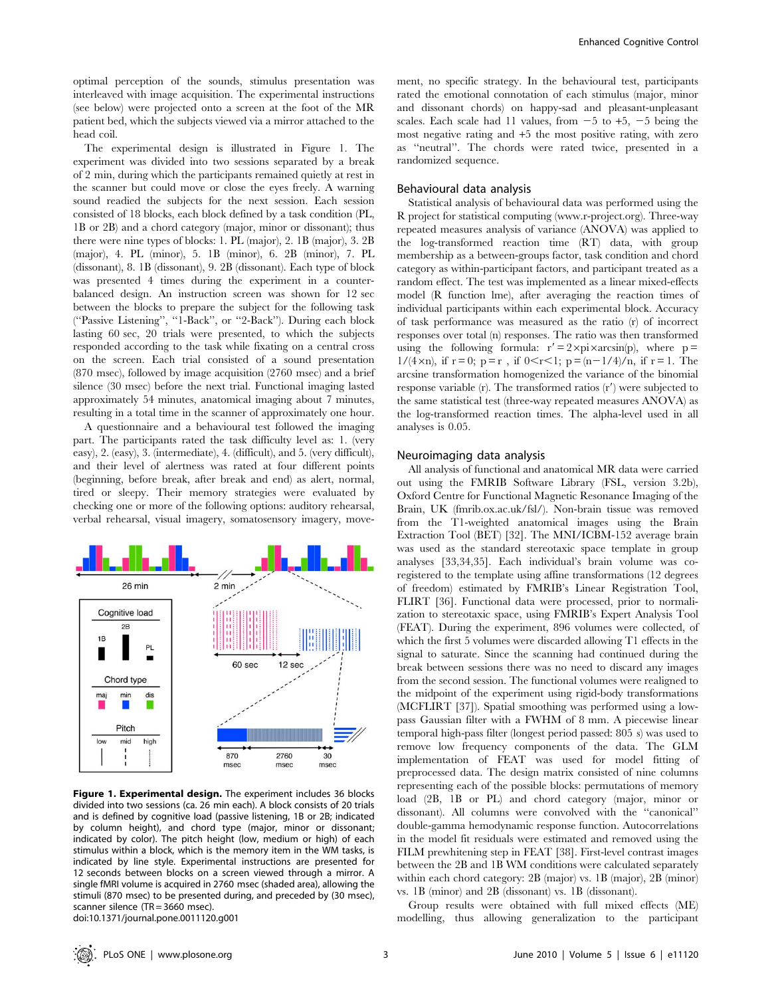optimal perception of the sounds, stimulus presentation was interleaved with image acquisition. The experimental instructions (see below) were projected onto a screen at the foot of the MR patient bed, which the subjects viewed via a mirror attached to the head coil.

The experimental design is illustrated in Figure 1. The experiment was divided into two sessions separated by a break of 2 min, during which the participants remained quietly at rest in the scanner but could move or close the eyes freely. A warning sound readied the subjects for the next session. Each session consisted of 18 blocks, each block defined by a task condition (PL, 1B or 2B) and a chord category (major, minor or dissonant); thus there were nine types of blocks: 1. PL (major), 2. 1B (major), 3. 2B (major), 4. PL (minor), 5. 1B (minor), 6. 2B (minor), 7. PL (dissonant), 8. 1B (dissonant), 9. 2B (dissonant). Each type of block was presented 4 times during the experiment in a counterbalanced design. An instruction screen was shown for 12 sec between the blocks to prepare the subject for the following task (''Passive Listening'', ''1-Back'', or ''2-Back''). During each block lasting 60 sec, 20 trials were presented, to which the subjects responded according to the task while fixating on a central cross on the screen. Each trial consisted of a sound presentation (870 msec), followed by image acquisition (2760 msec) and a brief silence (30 msec) before the next trial. Functional imaging lasted approximately 54 minutes, anatomical imaging about 7 minutes, resulting in a total time in the scanner of approximately one hour.

A questionnaire and a behavioural test followed the imaging part. The participants rated the task difficulty level as: 1. (very easy), 2. (easy), 3. (intermediate), 4. (difficult), and 5. (very difficult), and their level of alertness was rated at four different points (beginning, before break, after break and end) as alert, normal, tired or sleepy. Their memory strategies were evaluated by checking one or more of the following options: auditory rehearsal, verbal rehearsal, visual imagery, somatosensory imagery, move-



Figure 1. Experimental design. The experiment includes 36 blocks divided into two sessions (ca. 26 min each). A block consists of 20 trials and is defined by cognitive load (passive listening, 1B or 2B; indicated by column height), and chord type (major, minor or dissonant; indicated by color). The pitch height (low, medium or high) of each stimulus within a block, which is the memory item in the WM tasks, is indicated by line style. Experimental instructions are presented for 12 seconds between blocks on a screen viewed through a mirror. A single fMRI volume is acquired in 2760 msec (shaded area), allowing the stimuli (870 msec) to be presented during, and preceded by (30 msec), scanner silence (TR = 3660 msec). doi:10.1371/journal.pone.0011120.g001

ment, no specific strategy. In the behavioural test, participants rated the emotional connotation of each stimulus (major, minor and dissonant chords) on happy-sad and pleasant-unpleasant scales. Each scale had 11 values, from  $-5$  to  $+5$ ,  $-5$  being the most negative rating and +5 the most positive rating, with zero as ''neutral''. The chords were rated twice, presented in a randomized sequence.

#### Behavioural data analysis

Statistical analysis of behavioural data was performed using the R project for statistical computing (www.r-project.org). Three-way repeated measures analysis of variance (ANOVA) was applied to the log-transformed reaction time (RT) data, with group membership as a between-groups factor, task condition and chord category as within-participant factors, and participant treated as a random effect. The test was implemented as a linear mixed-effects model (R function lme), after averaging the reaction times of individual participants within each experimental block. Accuracy of task performance was measured as the ratio (r) of incorrect responses over total (n) responses. The ratio was then transformed using the following formula:  $r' = 2 \times pi \times \arcsin(p)$ , where p =  $1/(4 \times n)$ , if  $r = 0$ ;  $p = r$ , if  $0 \le r \le 1$ ;  $p = (n-1/4)/n$ , if  $r = 1$ . The arcsine transformation homogenized the variance of the binomial response variable  $(r)$ . The transformed ratios  $(r')$  were subjected to the same statistical test (three-way repeated measures ANOVA) as the log-transformed reaction times. The alpha-level used in all analyses is 0.05.

#### Neuroimaging data analysis

All analysis of functional and anatomical MR data were carried out using the FMRIB Software Library (FSL, version 3.2b), Oxford Centre for Functional Magnetic Resonance Imaging of the Brain, UK (fmrib.ox.ac.uk/fsl/). Non-brain tissue was removed from the T1-weighted anatomical images using the Brain Extraction Tool (BET) [32]. The MNI/ICBM-152 average brain was used as the standard stereotaxic space template in group analyses [33,34,35]. Each individual's brain volume was coregistered to the template using affine transformations (12 degrees of freedom) estimated by FMRIB's Linear Registration Tool, FLIRT [36]. Functional data were processed, prior to normalization to stereotaxic space, using FMRIB's Expert Analysis Tool (FEAT). During the experiment, 896 volumes were collected, of which the first 5 volumes were discarded allowing T1 effects in the signal to saturate. Since the scanning had continued during the break between sessions there was no need to discard any images from the second session. The functional volumes were realigned to the midpoint of the experiment using rigid-body transformations (MCFLIRT [37]). Spatial smoothing was performed using a lowpass Gaussian filter with a FWHM of 8 mm. A piecewise linear temporal high-pass filter (longest period passed: 805 s) was used to remove low frequency components of the data. The GLM implementation of FEAT was used for model fitting of preprocessed data. The design matrix consisted of nine columns representing each of the possible blocks: permutations of memory load (2B, 1B or PL) and chord category (major, minor or dissonant). All columns were convolved with the ''canonical'' double-gamma hemodynamic response function. Autocorrelations in the model fit residuals were estimated and removed using the FILM prewhitening step in FEAT [38]. First-level contrast images between the 2B and 1B WM conditions were calculated separately within each chord category: 2B (major) vs. 1B (major), 2B (minor) vs. 1B (minor) and 2B (dissonant) vs. 1B (dissonant).

Group results were obtained with full mixed effects (ME) modelling, thus allowing generalization to the participant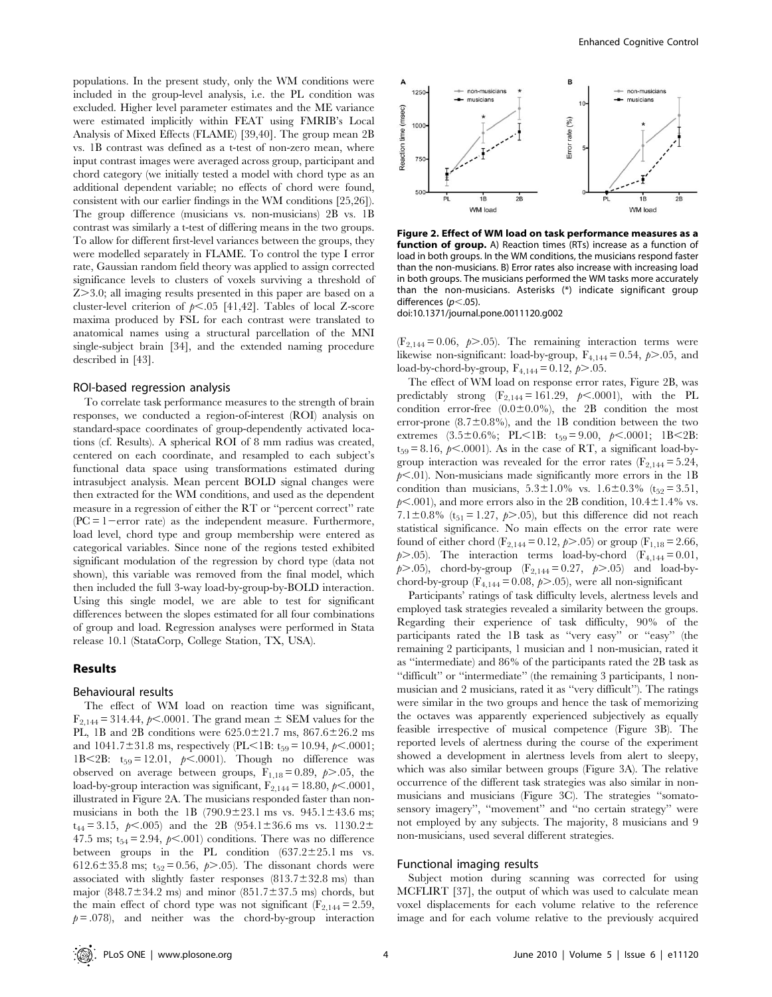populations. In the present study, only the WM conditions were included in the group-level analysis, i.e. the PL condition was excluded. Higher level parameter estimates and the ME variance were estimated implicitly within FEAT using FMRIB's Local Analysis of Mixed Effects (FLAME) [39,40]. The group mean 2B vs. 1B contrast was defined as a t-test of non-zero mean, where input contrast images were averaged across group, participant and chord category (we initially tested a model with chord type as an additional dependent variable; no effects of chord were found, consistent with our earlier findings in the WM conditions [25,26]). The group difference (musicians vs. non-musicians) 2B vs. 1B contrast was similarly a t-test of differing means in the two groups. To allow for different first-level variances between the groups, they were modelled separately in FLAME. To control the type I error rate, Gaussian random field theory was applied to assign corrected significance levels to clusters of voxels surviving a threshold of  $Z > 3.0$ ; all imaging results presented in this paper are based on a cluster-level criterion of  $p<.05$  [41,42]. Tables of local Z-score maxima produced by FSL for each contrast were translated to anatomical names using a structural parcellation of the MNI single-subject brain [34], and the extended naming procedure described in [43].

#### ROI-based regression analysis

To correlate task performance measures to the strength of brain responses, we conducted a region-of-interest (ROI) analysis on standard-space coordinates of group-dependently activated locations (cf. Results). A spherical ROI of 8 mm radius was created, centered on each coordinate, and resampled to each subject's functional data space using transformations estimated during intrasubject analysis. Mean percent BOLD signal changes were then extracted for the WM conditions, and used as the dependent measure in a regression of either the RT or ''percent correct'' rate  $(PC = 1$ -error rate) as the independent measure. Furthermore, load level, chord type and group membership were entered as categorical variables. Since none of the regions tested exhibited significant modulation of the regression by chord type (data not shown), this variable was removed from the final model, which then included the full 3-way load-by-group-by-BOLD interaction. Using this single model, we are able to test for significant differences between the slopes estimated for all four combinations of group and load. Regression analyses were performed in Stata release 10.1 (StataCorp, College Station, TX, USA).

## Results

# Behavioural results

The effect of WM load on reaction time was significant,  $F_{2,144} = 314.44$ ,  $p<.0001$ . The grand mean  $\pm$  SEM values for the PL, 1B and 2B conditions were  $625.0 \pm 21.7$  ms,  $867.6 \pm 26.2$  ms and 1041.7 $\pm$ 31.8 ms, respectively (PL<1B: t<sub>59</sub> = 10.94,  $p$ <.0001; 1B $<$ 2B: t<sub>59</sub> = 12.01,  $p$ <.0001). Though no difference was observed on average between groups,  $F_{1,18} = 0.89$ ,  $p > .05$ , the load-by-group interaction was significant,  $F_{2,144} = 18.80, \, \rho \leq .0001,$ illustrated in Figure 2A. The musicians responded faster than nonmusicians in both the 1B (790.9 $\pm$ 23.1 ms vs. 945.1 $\pm$ 43.6 ms;  $t_{44} = 3.15, \, p \leq 0.005$  and the 2B (954.1±36.6 ms vs. 1130.2± 47.5 ms;  $t_{54} = 2.94$ ,  $p < .001$ ) conditions. There was no difference between groups in the PL condition  $(637.2 \pm 25.1 \text{ ms}$  vs. 612.6±35.8 ms; t<sub>52</sub>= 0.56,  $p$ >.05). The dissonant chords were associated with slightly faster responses  $(813.7 \pm 32.8 \text{ ms})$  than major (848.7 $\pm$ 34.2 ms) and minor (851.7 $\pm$ 37.5 ms) chords, but the main effect of chord type was not significant ( $F_{2,144} = 2.59$ ,  $p = .078$ ), and neither was the chord-by-group interaction



Figure 2. Effect of WM load on task performance measures as a function of group. A) Reaction times (RTs) increase as a function of load in both groups. In the WM conditions, the musicians respond faster than the non-musicians. B) Error rates also increase with increasing load in both groups. The musicians performed the WM tasks more accurately than the non-musicians. Asterisks (\*) indicate significant group differences ( $p$ <.05).

doi:10.1371/journal.pone.0011120.g002

 $(F_{2,144} = 0.06, p > .05)$ . The remaining interaction terms were likewise non-significant: load-by-group,  $F_{4,144} = 0.54$ ,  $p > .05$ , and load-by-chord-by-group,  $F_{4,144} = 0.12, p > .05$ .

The effect of WM load on response error rates, Figure 2B, was predictably strong  $(F_{2,144} = 161.29, p \leq .0001)$ , with the PL condition error-free  $(0.0\pm0.0\%)$ , the 2B condition the most error-prone  $(8.7\pm0.8\%)$ , and the 1B condition between the two extremes  $(3.5\pm0.6\%; \text{ PL} < 1B; t_{59} = 9.00, \text{ p} < .0001; \text{ 1B} < 2B;$  $t_{59} = 8.16$ ,  $p \le 0.0001$ ). As in the case of RT, a significant load-bygroup interaction was revealed for the error rates  $(F_{2,144} = 5.24,$  $p<.01$ ). Non-musicians made significantly more errors in the 1B condition than musicians,  $5.3 \pm 1.0\%$  vs.  $1.6 \pm 0.3\%$  (t<sub>52</sub> = 3.51,  $p<.001$ ), and more errors also in the 2B condition,  $10.4 \pm 1.4\%$  vs. 7.1 $\pm$ 0.8% (t<sub>51</sub> = 1.27, p...05), but this difference did not reach statistical significance. No main effects on the error rate were found of either chord (F<sub>2,144</sub> = 0.12,  $p$ >.05) or group (F<sub>1,18</sub> = 2.66,  $p$ >.05). The interaction terms load-by-chord (F<sub>4,144</sub> = 0.01,  $p$ , 2.05), chord-by-group (F<sub>2,144</sub> = 0.27,  $p$ , 2.05) and load-bychord-by-group ( $F_{4,144} = 0.08$ ,  $p > .05$ ), were all non-significant

Participants' ratings of task difficulty levels, alertness levels and employed task strategies revealed a similarity between the groups. Regarding their experience of task difficulty, 90% of the participants rated the 1B task as ''very easy'' or ''easy'' (the remaining 2 participants, 1 musician and 1 non-musician, rated it as ''intermediate) and 86% of the participants rated the 2B task as ''difficult'' or ''intermediate'' (the remaining 3 participants, 1 nonmusician and 2 musicians, rated it as ''very difficult''). The ratings were similar in the two groups and hence the task of memorizing the octaves was apparently experienced subjectively as equally feasible irrespective of musical competence (Figure 3B). The reported levels of alertness during the course of the experiment showed a development in alertness levels from alert to sleepy, which was also similar between groups (Figure 3A). The relative occurrence of the different task strategies was also similar in nonmusicians and musicians (Figure 3C). The strategies ''somatosensory imagery'', ''movement'' and ''no certain strategy'' were not employed by any subjects. The majority, 8 musicians and 9 non-musicians, used several different strategies.

# Functional imaging results

Subject motion during scanning was corrected for using MCFLIRT [37], the output of which was used to calculate mean voxel displacements for each volume relative to the reference image and for each volume relative to the previously acquired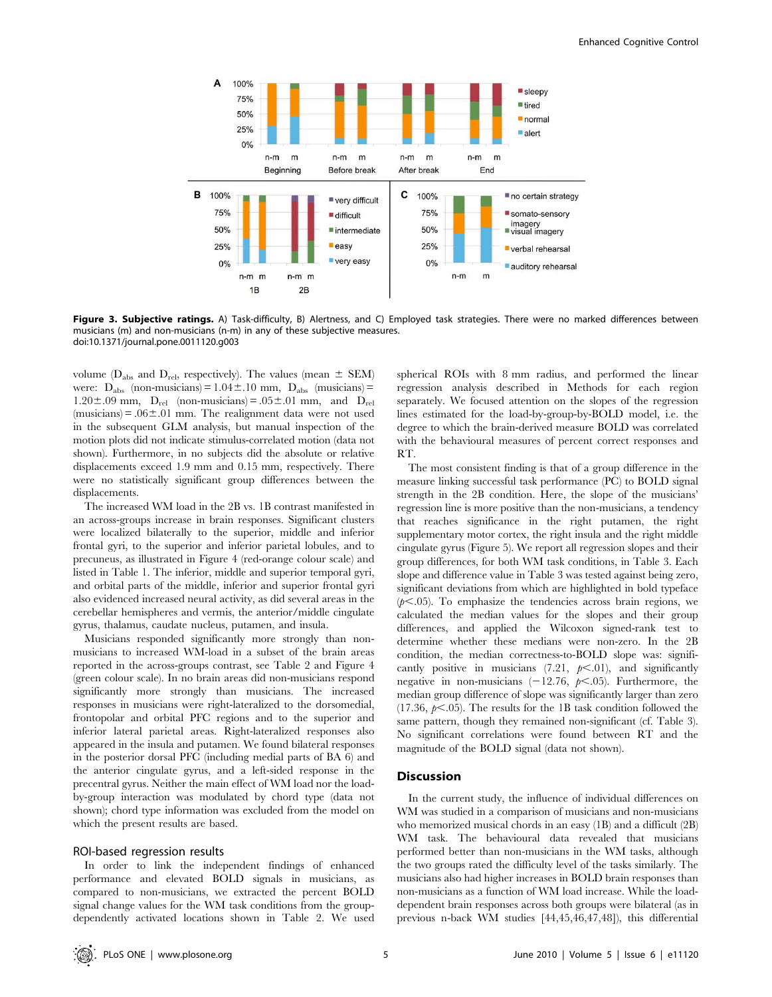

Figure 3. Subjective ratings. A) Task-difficulty, B) Alertness, and C) Employed task strategies. There were no marked differences between musicians (m) and non-musicians (n-m) in any of these subjective measures. doi:10.1371/journal.pone.0011120.g003

volume ( $D_{\text{abs}}$  and  $D_{\text{rel}}$ , respectively). The values (mean  $\pm$  SEM) were:  $D_{\text{abs}}$  (non-musicians) = 1.04 ± 10 mm,  $D_{\text{abs}}$  (musicians) =  $1.20\pm.09$  mm,  $D_{rel}$  (non-musicians) =  $.05\pm.01$  mm, and  $D_{rel}$ (musicians) =  $.06 \pm .01$  mm. The realignment data were not used in the subsequent GLM analysis, but manual inspection of the motion plots did not indicate stimulus-correlated motion (data not shown). Furthermore, in no subjects did the absolute or relative displacements exceed 1.9 mm and 0.15 mm, respectively. There were no statistically significant group differences between the displacements.

The increased WM load in the 2B vs. 1B contrast manifested in an across-groups increase in brain responses. Significant clusters were localized bilaterally to the superior, middle and inferior frontal gyri, to the superior and inferior parietal lobules, and to precuneus, as illustrated in Figure 4 (red-orange colour scale) and listed in Table 1. The inferior, middle and superior temporal gyri, and orbital parts of the middle, inferior and superior frontal gyri also evidenced increased neural activity, as did several areas in the cerebellar hemispheres and vermis, the anterior/middle cingulate gyrus, thalamus, caudate nucleus, putamen, and insula.

Musicians responded significantly more strongly than nonmusicians to increased WM-load in a subset of the brain areas reported in the across-groups contrast, see Table 2 and Figure 4 (green colour scale). In no brain areas did non-musicians respond significantly more strongly than musicians. The increased responses in musicians were right-lateralized to the dorsomedial, frontopolar and orbital PFC regions and to the superior and inferior lateral parietal areas. Right-lateralized responses also appeared in the insula and putamen. We found bilateral responses in the posterior dorsal PFC (including medial parts of BA 6) and the anterior cingulate gyrus, and a left-sided response in the precentral gyrus. Neither the main effect of WM load nor the loadby-group interaction was modulated by chord type (data not shown); chord type information was excluded from the model on which the present results are based.

# ROI-based regression results

In order to link the independent findings of enhanced performance and elevated BOLD signals in musicians, as compared to non-musicians, we extracted the percent BOLD signal change values for the WM task conditions from the groupdependently activated locations shown in Table 2. We used

spherical ROIs with 8 mm radius, and performed the linear regression analysis described in Methods for each region separately. We focused attention on the slopes of the regression lines estimated for the load-by-group-by-BOLD model, i.e. the degree to which the brain-derived measure BOLD was correlated with the behavioural measures of percent correct responses and RT.

The most consistent finding is that of a group difference in the measure linking successful task performance (PC) to BOLD signal strength in the 2B condition. Here, the slope of the musicians' regression line is more positive than the non-musicians, a tendency that reaches significance in the right putamen, the right supplementary motor cortex, the right insula and the right middle cingulate gyrus (Figure 5). We report all regression slopes and their group differences, for both WM task conditions, in Table 3. Each slope and difference value in Table 3 was tested against being zero, significant deviations from which are highlighted in bold typeface  $(p<.05)$ . To emphasize the tendencies across brain regions, we calculated the median values for the slopes and their group differences, and applied the Wilcoxon signed-rank test to determine whether these medians were non-zero. In the 2B condition, the median correctness-to-BOLD slope was: significantly positive in musicians (7.21,  $p<.01$ ), and significantly negative in non-musicians  $(-12.76, p<.05)$ . Furthermore, the median group difference of slope was significantly larger than zero  $(17.36, p<.05)$ . The results for the 1B task condition followed the same pattern, though they remained non-significant (cf. Table 3). No significant correlations were found between RT and the magnitude of the BOLD signal (data not shown).

#### **Discussion**

In the current study, the influence of individual differences on WM was studied in a comparison of musicians and non-musicians who memorized musical chords in an easy (1B) and a difficult (2B) WM task. The behavioural data revealed that musicians performed better than non-musicians in the WM tasks, although the two groups rated the difficulty level of the tasks similarly. The musicians also had higher increases in BOLD brain responses than non-musicians as a function of WM load increase. While the loaddependent brain responses across both groups were bilateral (as in previous n-back WM studies [44,45,46,47,48]), this differential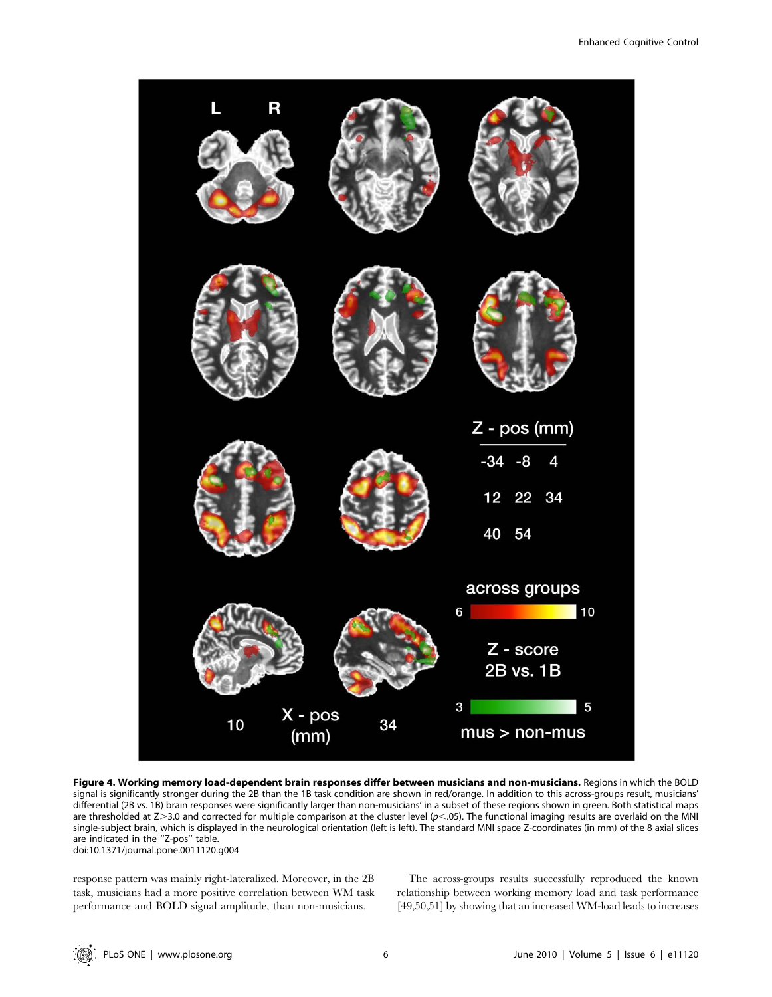

Figure 4. Working memory load-dependent brain responses differ between musicians and non-musicians. Regions in which the BOLD signal is significantly stronger during the 2B than the 1B task condition are shown in red/orange. In addition to this across-groups result, musicians' differential (2B vs. 1B) brain responses were significantly larger than non-musicians' in a subset of these regions shown in green. Both statistical maps are thresholded at  $Z > 3.0$  and corrected for multiple comparison at the cluster level ( $p$ <.05). The functional imaging results are overlaid on the MNI single-subject brain, which is displayed in the neurological orientation (left is left). The standard MNI space Z-coordinates (in mm) of the 8 axial slices are indicated in the ''Z-pos'' table. doi:10.1371/journal.pone.0011120.g004

response pattern was mainly right-lateralized. Moreover, in the 2B task, musicians had a more positive correlation between WM task performance and BOLD signal amplitude, than non-musicians.

The across-groups results successfully reproduced the known relationship between working memory load and task performance [49,50,51] by showing that an increased WM-load leads to increases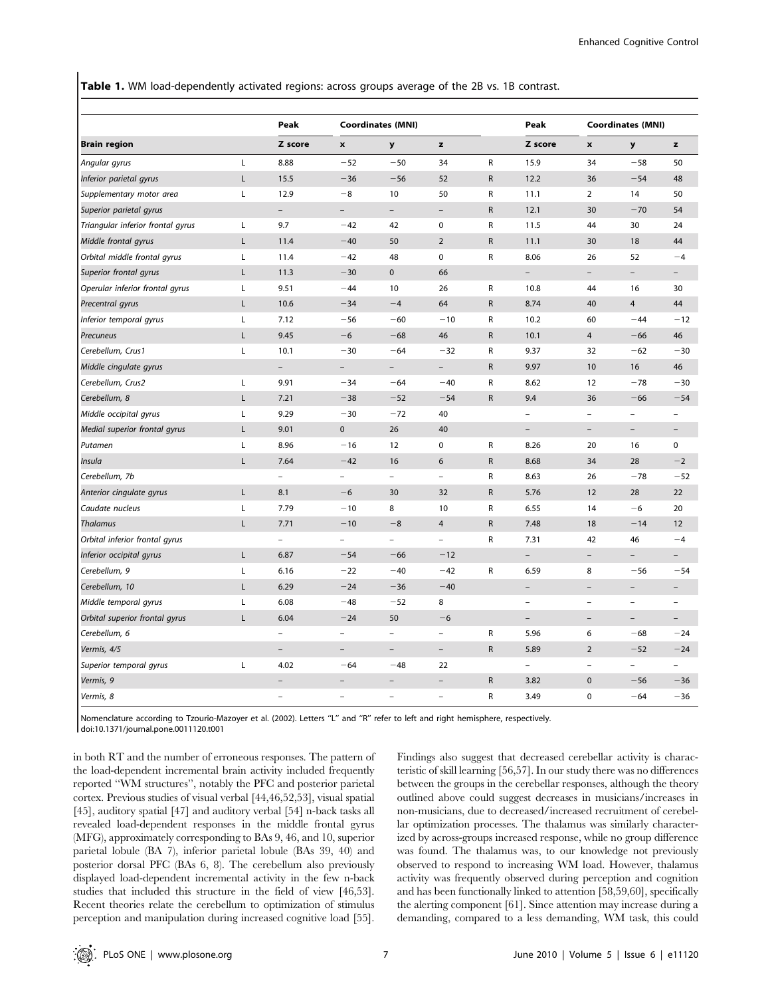Table 1. WM load-dependently activated regions: across groups average of the 2B vs. 1B contrast.

|                                   |   | Peak<br>Z score          | <b>Coordinates (MNI)</b> |                          |                          |              | Peak                     | <b>Coordinates (MNI)</b> |                          |                          |
|-----------------------------------|---|--------------------------|--------------------------|--------------------------|--------------------------|--------------|--------------------------|--------------------------|--------------------------|--------------------------|
| <b>Brain region</b>               |   |                          | $\pmb{\mathsf{x}}$       | y                        | z                        |              | Z score                  | $\pmb{\mathsf{x}}$       | y                        | z                        |
| Angular gyrus                     | L | 8.88                     | $-52$                    | $-50$                    | 34                       | ${\sf R}$    | 15.9                     | 34                       | $-58$                    | 50                       |
| Inferior parietal gyrus           | Г | 15.5                     | $-36$                    | $-56$                    | 52                       | ${\sf R}$    | 12.2                     | 36                       | $-54$                    | 48                       |
| Supplementary motor area          | Г | 12.9                     | $-8$                     | 10                       | 50                       | R            | 11.1                     | $\overline{2}$           | 14                       | 50                       |
| Superior parietal gyrus           |   | $\overline{\phantom{a}}$ | $\overline{\phantom{0}}$ | $\overline{\phantom{a}}$ | $\overline{\phantom{a}}$ | ${\sf R}$    | 12.1                     | 30                       | $-70$                    | 54                       |
| Triangular inferior frontal gyrus | Г | 9.7                      | $-42$                    | 42                       | $\mathbf 0$              | R            | 11.5                     | 44                       | 30                       | 24                       |
| Middle frontal gyrus              | Г | 11.4                     | $-40$                    | 50                       | $\overline{2}$           | ${\sf R}$    | 11.1                     | 30                       | 18                       | 44                       |
| Orbital middle frontal gyrus      | L | 11.4                     | $-42$                    | 48                       | $\mathbf 0$              | R            | 8.06                     | 26                       | 52                       | $-4$                     |
| Superior frontal gyrus            | L | 11.3                     | $-30$                    | $\mathbf 0$              | 66                       |              | $\overline{\phantom{0}}$ | $\overline{\phantom{0}}$ | $\overline{\phantom{a}}$ |                          |
| Operular inferior frontal gyrus   | L | 9.51                     | $-44$                    | 10                       | 26                       | R            | 10.8                     | 44                       | 16                       | 30                       |
| Precentral gyrus                  | L | 10.6                     | $-34$                    | $-4$                     | 64                       | $\mathsf{R}$ | 8.74                     | 40                       | $\overline{4}$           | 44                       |
| Inferior temporal gyrus           | Г | 7.12                     | $-56$                    | $-60$                    | $-10$                    | R            | 10.2                     | 60                       | $-44$                    | $-12$                    |
| Precuneus                         | L | 9.45                     | $-6$                     | $-68$                    | 46                       | ${\sf R}$    | 10.1                     | $\overline{4}$           | $-66$                    | 46                       |
| Cerebellum, Crus1                 | Г | 10.1                     | $-30$                    | $-64$                    | $-32$                    | R            | 9.37                     | 32                       | $-62$                    | $-30$                    |
| Middle cingulate gyrus            |   | $\overline{\phantom{0}}$ |                          |                          | $\overline{\phantom{0}}$ | ${\sf R}$    | 9.97                     | 10                       | 16                       | 46                       |
| Cerebellum, Crus2                 | L | 9.91                     | $-34$                    | $-64$                    | $-40$                    | R            | 8.62                     | 12                       | $-78$                    | $-30$                    |
| Cerebellum, 8                     | L | 7.21                     | $-38$                    | $-52$                    | $-54$                    | ${\sf R}$    | 9.4                      | 36                       | $-66$                    | $-54$                    |
| Middle occipital gyrus            | Г | 9.29                     | $-30$                    | $-72$                    | 40                       |              | $\overline{a}$           | $\overline{a}$           | $\overline{a}$           |                          |
| Medial superior frontal gyrus     | Г | 9.01                     | $\mathbf 0$              | 26                       | 40                       |              | $\overline{\phantom{0}}$ | $\overline{\phantom{a}}$ | $\overline{\phantom{a}}$ | $\overline{\phantom{0}}$ |
| Putamen                           | Г | 8.96                     | $-16$                    | 12                       | 0                        | R            | 8.26                     | 20                       | 16                       | 0                        |
| Insula                            | L | 7.64                     | $-42$                    | 16                       | 6                        | R            | 8.68                     | 34                       | 28                       | $-2$                     |
| Cerebellum, 7b                    |   | $\qquad \qquad -$        | -                        | $\overline{\phantom{a}}$ | $\qquad \qquad -$        | R            | 8.63                     | 26                       | $-78$                    | $-52$                    |
| Anterior cingulate gyrus          | Г | 8.1                      | $-6$                     | 30                       | 32                       | ${\sf R}$    | 5.76                     | 12                       | 28                       | 22                       |
| Caudate nucleus                   | Г | 7.79                     | $-10$                    | 8                        | 10                       | R            | 6.55                     | 14                       | $-6$                     | 20                       |
| Thalamus                          | L | 7.71                     | $-10$                    | $-8$                     | $\overline{4}$           | $\mathsf{R}$ | 7.48                     | 18                       | $-14$                    | 12                       |
| Orbital inferior frontal gyrus    |   | $\overline{a}$           |                          | $\overline{a}$           | $\overline{a}$           | R            | 7.31                     | 42                       | 46                       | $-4$                     |
| Inferior occipital gyrus          | Г | 6.87                     | $-54$                    | $-66$                    | $-12$                    |              | $\overline{\phantom{0}}$ | $\qquad \qquad -$        | $\overline{\phantom{0}}$ |                          |
| Cerebellum, 9                     | L | 6.16                     | $-22$                    | $-40$                    | $-42$                    | R            | 6.59                     | 8                        | $-56$                    | $-54$                    |
| Cerebellum, 10                    | L | 6.29                     | $-24$                    | $-36$                    | $-40$                    |              |                          | $\overline{a}$           |                          |                          |
| Middle temporal gyrus             | Г | 6.08                     | $-48$                    | $-52$                    | 8                        |              | $\overline{\phantom{0}}$ | $\overline{a}$           | $\overline{\phantom{0}}$ |                          |
| Orbital superior frontal gyrus    | L | 6.04                     | $-24$                    | 50                       | $-6$                     |              | $\overline{\phantom{0}}$ | $\overline{\phantom{0}}$ | $\overline{\phantom{a}}$ | $\overline{\phantom{0}}$ |
| Cerebellum, 6                     |   | $\overline{\phantom{0}}$ | $\overline{\phantom{0}}$ | $\overline{\phantom{0}}$ | $\overline{a}$           | R            | 5.96                     | 6                        | $-68$                    | $-24$                    |
| Vermis, 4/5                       |   | $\overline{\phantom{0}}$ | $\overline{\phantom{0}}$ | $\overline{\phantom{0}}$ | $\overline{\phantom{a}}$ | ${\sf R}$    | 5.89                     | $\overline{2}$           | $-52$                    | $-24$                    |
| Superior temporal gyrus           | Г | 4.02                     | $-64$                    | $-48$                    | 22                       |              | $\overline{\phantom{0}}$ | $\overline{\phantom{a}}$ | $\overline{\phantom{a}}$ | $\overline{a}$           |
| Vermis, 9                         |   |                          | $\overline{\phantom{0}}$ | $\overline{\phantom{0}}$ | $\qquad \qquad -$        | R            | 3.82                     | $\mathbf 0$              | $-56$                    | $-36$                    |
| Vermis, 8                         |   | $\qquad \qquad -$        | $\overline{\phantom{0}}$ | $\overline{a}$           | $\qquad \qquad -$        | R            | 3.49                     | $\mathbf 0$              | $-64$                    | $-36$                    |

Nomenclature according to Tzourio-Mazoyer et al. (2002). Letters ''L'' and ''R'' refer to left and right hemisphere, respectively.

doi:10.1371/journal.pone.0011120.t001

in both RT and the number of erroneous responses. The pattern of the load-dependent incremental brain activity included frequently reported ''WM structures'', notably the PFC and posterior parietal cortex. Previous studies of visual verbal [44,46,52,53], visual spatial [45], auditory spatial [47] and auditory verbal [54] n-back tasks all revealed load-dependent responses in the middle frontal gyrus (MFG), approximately corresponding to BAs 9, 46, and 10, superior parietal lobule (BA 7), inferior parietal lobule (BAs 39, 40) and posterior dorsal PFC (BAs 6, 8). The cerebellum also previously displayed load-dependent incremental activity in the few n-back studies that included this structure in the field of view [46,53]. Recent theories relate the cerebellum to optimization of stimulus perception and manipulation during increased cognitive load [55].

Findings also suggest that decreased cerebellar activity is characteristic of skill learning [56,57]. In our study there was no differences between the groups in the cerebellar responses, although the theory outlined above could suggest decreases in musicians/increases in non-musicians, due to decreased/increased recruitment of cerebellar optimization processes. The thalamus was similarly characterized by across-groups increased response, while no group difference was found. The thalamus was, to our knowledge not previously observed to respond to increasing WM load. However, thalamus activity was frequently observed during perception and cognition and has been functionally linked to attention [58,59,60], specifically the alerting component [61]. Since attention may increase during a demanding, compared to a less demanding, WM task, this could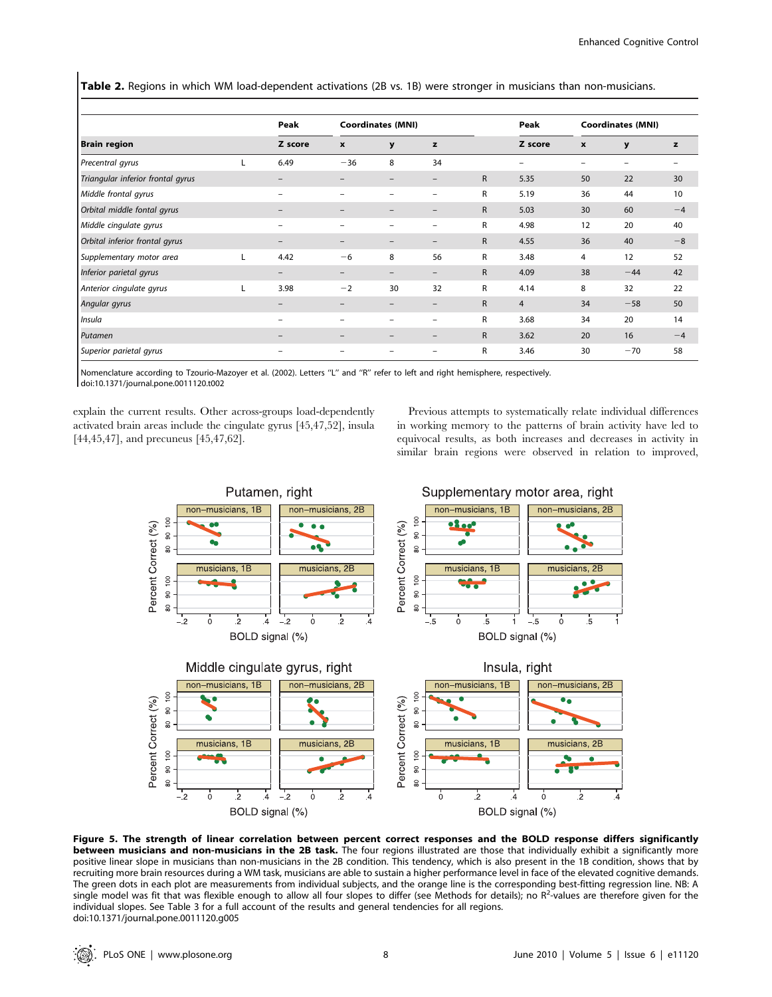Table 2. Regions in which WM load-dependent activations (2B vs. 1B) were stronger in musicians than non-musicians.

|                                   |  | Peak<br>Z score          | <b>Coordinates (MNI)</b> |    |                          |              | Peak                     | <b>Coordinates (MNI)</b>  |       |      |
|-----------------------------------|--|--------------------------|--------------------------|----|--------------------------|--------------|--------------------------|---------------------------|-------|------|
| <b>Brain region</b>               |  |                          | $\boldsymbol{x}$         | y  | z                        |              | Z score                  | $\boldsymbol{\mathsf{x}}$ | y     | z    |
| Precentral gyrus                  |  | 6.49                     | $-36$                    | 8  | 34                       |              | $\overline{\phantom{0}}$ |                           |       |      |
| Triangular inferior frontal gyrus |  | $\overline{\phantom{0}}$ |                          |    | -                        | $\mathsf{R}$ | 5.35                     | 50                        | 22    | 30   |
| Middle frontal gyrus              |  | -                        |                          |    |                          | R            | 5.19                     | 36                        | 44    | 10   |
| Orbital middle fontal gyrus       |  | $\qquad \qquad -$        |                          |    | $\overline{\phantom{0}}$ | $\mathsf{R}$ | 5.03                     | 30                        | 60    | $-4$ |
| Middle cingulate gyrus            |  | -                        |                          |    | -                        | R            | 4.98                     | 12                        | 20    | 40   |
| Orbital inferior frontal gyrus    |  | $\qquad \qquad -$        |                          |    | -                        | $\mathsf{R}$ | 4.55                     | 36                        | 40    | $-8$ |
| Supplementary motor area          |  | 4.42                     | $-6$                     | 8  | 56                       | R            | 3.48                     | 4                         | 12    | 52   |
| Inferior parietal gyrus           |  | -                        |                          |    | -                        | $\mathsf{R}$ | 4.09                     | 38                        | $-44$ | 42   |
| Anterior cingulate gyrus          |  | 3.98                     | $-2$                     | 30 | 32                       | R            | 4.14                     | 8                         | 32    | 22   |
| Angular gyrus                     |  |                          |                          |    | -                        | $\mathsf{R}$ | $\overline{4}$           | 34                        | $-58$ | 50   |
| Insula                            |  | $\overline{\phantom{0}}$ |                          |    |                          | R            | 3.68                     | 34                        | 20    | 14   |
| Putamen                           |  | $\overline{\phantom{0}}$ |                          |    | $\overline{\phantom{0}}$ | $\mathsf{R}$ | 3.62                     | 20                        | 16    | $-4$ |
| Superior parietal gyrus           |  |                          |                          |    |                          | R            | 3.46                     | 30                        | $-70$ | 58   |

Nomenclature according to Tzourio-Mazoyer et al. (2002). Letters ''L'' and ''R'' refer to left and right hemisphere, respectively. doi:10.1371/journal.pone.0011120.t002

explain the current results. Other across-groups load-dependently activated brain areas include the cingulate gyrus [45,47,52], insula [44,45,47], and precuneus [45,47,62].

Previous attempts to systematically relate individual differences in working memory to the patterns of brain activity have led to equivocal results, as both increases and decreases in activity in similar brain regions were observed in relation to improved,



Figure 5. The strength of linear correlation between percent correct responses and the BOLD response differs significantly between musicians and non-musicians in the 2B task. The four regions illustrated are those that individually exhibit a significantly more positive linear slope in musicians than non-musicians in the 2B condition. This tendency, which is also present in the 1B condition, shows that by recruiting more brain resources during a WM task, musicians are able to sustain a higher performance level in face of the elevated cognitive demands. The green dots in each plot are measurements from individual subjects, and the orange line is the corresponding best-fitting regression line. NB: A single model was fit that was flexible enough to allow all four slopes to differ (see Methods for details); no R<sup>2</sup>-values are therefore given for the individual slopes. See Table 3 for a full account of the results and general tendencies for all regions. doi:10.1371/journal.pone.0011120.g005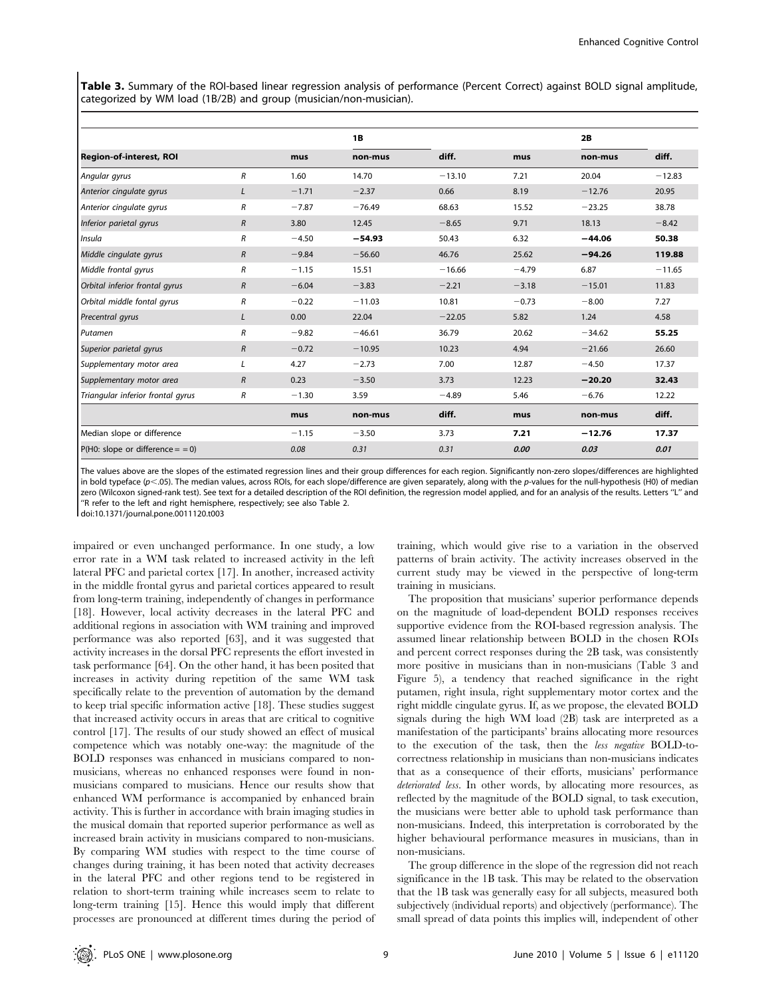Table 3. Summary of the ROI-based linear regression analysis of performance (Percent Correct) against BOLD signal amplitude, categorized by WM load (1B/2B) and group (musician/non-musician).

|                                   |                |         | <b>1B</b> |          |         | 2B       |          |
|-----------------------------------|----------------|---------|-----------|----------|---------|----------|----------|
| <b>Region-of-interest, ROI</b>    |                | mus     | non-mus   | diff.    | mus     | non-mus  | diff.    |
| Angular gyrus                     | R              | 1.60    | 14.70     | $-13.10$ | 7.21    | 20.04    | $-12.83$ |
| Anterior cingulate gyrus          |                | $-1.71$ | $-2.37$   | 0.66     | 8.19    | $-12.76$ | 20.95    |
| Anterior cingulate gyrus          | R              | $-7.87$ | $-76.49$  | 68.63    | 15.52   | $-23.25$ | 38.78    |
| Inferior parietal gyrus           | $\overline{R}$ | 3.80    | 12.45     | $-8.65$  | 9.71    | 18.13    | $-8.42$  |
| Insula                            | R              | $-4.50$ | $-54.93$  | 50.43    | 6.32    | $-44.06$ | 50.38    |
| Middle cingulate gyrus            | $\overline{R}$ | $-9.84$ | $-56.60$  | 46.76    | 25.62   | $-94.26$ | 119.88   |
| Middle frontal gyrus              | R              | $-1.15$ | 15.51     | $-16.66$ | $-4.79$ | 6.87     | $-11.65$ |
| Orbital inferior frontal gyrus    | $\overline{R}$ | $-6.04$ | $-3.83$   | $-2.21$  | $-3.18$ | $-15.01$ | 11.83    |
| Orbital middle fontal gyrus       | R              | $-0.22$ | $-11.03$  | 10.81    | $-0.73$ | $-8.00$  | 7.27     |
| Precentral gyrus                  |                | 0.00    | 22.04     | $-22.05$ | 5.82    | 1.24     | 4.58     |
| Putamen                           | R              | $-9.82$ | $-46.61$  | 36.79    | 20.62   | $-34.62$ | 55.25    |
| Superior parietal gyrus           | $\overline{R}$ | $-0.72$ | $-10.95$  | 10.23    | 4.94    | $-21.66$ | 26.60    |
| Supplementary motor area          | L              | 4.27    | $-2.73$   | 7.00     | 12.87   | $-4.50$  | 17.37    |
| Supplementary motor area          | $\overline{R}$ | 0.23    | $-3.50$   | 3.73     | 12.23   | $-20.20$ | 32.43    |
| Triangular inferior frontal gyrus | R              | $-1.30$ | 3.59      | $-4.89$  | 5.46    | $-6.76$  | 12.22    |
|                                   |                | mus     | non-mus   | diff.    | mus     | non-mus  | diff.    |
| Median slope or difference        |                | $-1.15$ | $-3.50$   | 3.73     | 7.21    | $-12.76$ | 17.37    |
| $P(H0: slope or difference = 0)$  |                | 0.08    | 0.31      | 0.31     | 0.00    | 0.03     | 0.01     |

The values above are the slopes of the estimated regression lines and their group differences for each region. Significantly non-zero slopes/differences are highlighted in bold typeface (p<.05). The median values, across ROIs, for each slope/difference are given separately, along with the p-values for the null-hypothesis (H0) of median zero (Wilcoxon signed-rank test). See text for a detailed description of the ROI definition, the regression model applied, and for an analysis of the results. Letters "L" and ''R refer to the left and right hemisphere, respectively; see also Table 2.

doi:10.1371/journal.pone.0011120.t003

impaired or even unchanged performance. In one study, a low error rate in a WM task related to increased activity in the left lateral PFC and parietal cortex [17]. In another, increased activity in the middle frontal gyrus and parietal cortices appeared to result from long-term training, independently of changes in performance [18]. However, local activity decreases in the lateral PFC and additional regions in association with WM training and improved performance was also reported [63], and it was suggested that activity increases in the dorsal PFC represents the effort invested in task performance [64]. On the other hand, it has been posited that increases in activity during repetition of the same WM task specifically relate to the prevention of automation by the demand to keep trial specific information active [18]. These studies suggest that increased activity occurs in areas that are critical to cognitive control [17]. The results of our study showed an effect of musical competence which was notably one-way: the magnitude of the BOLD responses was enhanced in musicians compared to nonmusicians, whereas no enhanced responses were found in nonmusicians compared to musicians. Hence our results show that enhanced WM performance is accompanied by enhanced brain activity. This is further in accordance with brain imaging studies in the musical domain that reported superior performance as well as increased brain activity in musicians compared to non-musicians. By comparing WM studies with respect to the time course of changes during training, it has been noted that activity decreases in the lateral PFC and other regions tend to be registered in relation to short-term training while increases seem to relate to long-term training [15]. Hence this would imply that different processes are pronounced at different times during the period of training, which would give rise to a variation in the observed patterns of brain activity. The activity increases observed in the current study may be viewed in the perspective of long-term training in musicians.

The proposition that musicians' superior performance depends on the magnitude of load-dependent BOLD responses receives supportive evidence from the ROI-based regression analysis. The assumed linear relationship between BOLD in the chosen ROIs and percent correct responses during the 2B task, was consistently more positive in musicians than in non-musicians (Table 3 and Figure 5), a tendency that reached significance in the right putamen, right insula, right supplementary motor cortex and the right middle cingulate gyrus. If, as we propose, the elevated BOLD signals during the high WM load (2B) task are interpreted as a manifestation of the participants' brains allocating more resources to the execution of the task, then the less negative BOLD-tocorrectness relationship in musicians than non-musicians indicates that as a consequence of their efforts, musicians' performance deteriorated less. In other words, by allocating more resources, as reflected by the magnitude of the BOLD signal, to task execution, the musicians were better able to uphold task performance than non-musicians. Indeed, this interpretation is corroborated by the higher behavioural performance measures in musicians, than in non-musicians.

The group difference in the slope of the regression did not reach significance in the 1B task. This may be related to the observation that the 1B task was generally easy for all subjects, measured both subjectively (individual reports) and objectively (performance). The small spread of data points this implies will, independent of other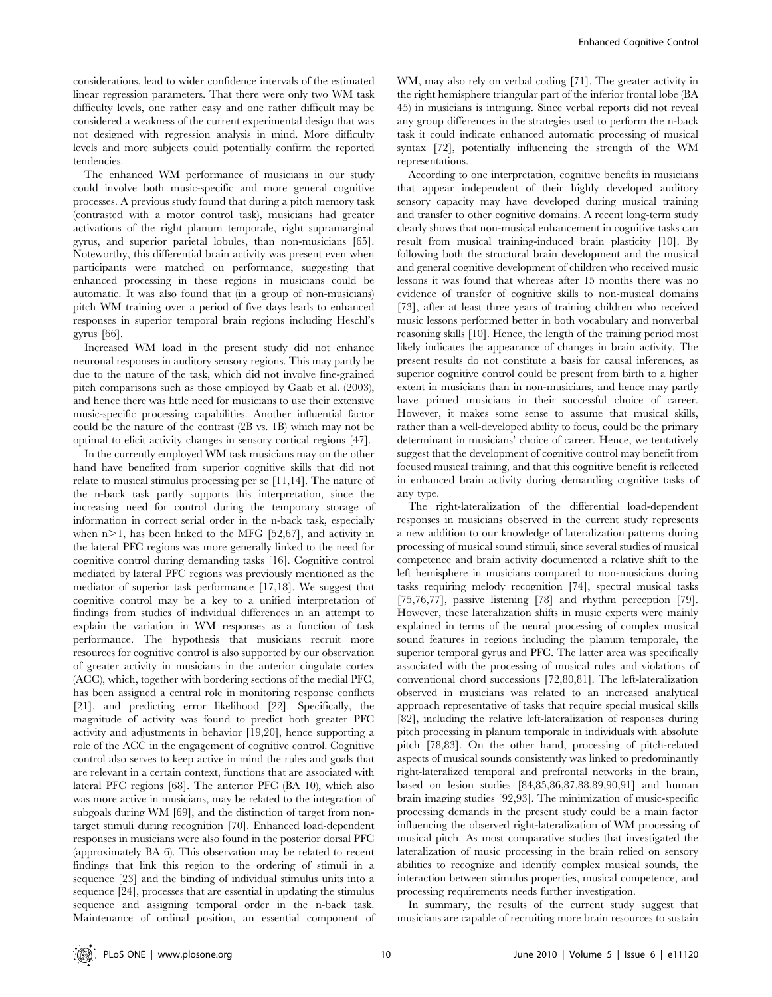considerations, lead to wider confidence intervals of the estimated linear regression parameters. That there were only two WM task difficulty levels, one rather easy and one rather difficult may be considered a weakness of the current experimental design that was not designed with regression analysis in mind. More difficulty levels and more subjects could potentially confirm the reported tendencies.

The enhanced WM performance of musicians in our study could involve both music-specific and more general cognitive processes. A previous study found that during a pitch memory task (contrasted with a motor control task), musicians had greater activations of the right planum temporale, right supramarginal gyrus, and superior parietal lobules, than non-musicians [65]. Noteworthy, this differential brain activity was present even when participants were matched on performance, suggesting that enhanced processing in these regions in musicians could be automatic. It was also found that (in a group of non-musicians) pitch WM training over a period of five days leads to enhanced responses in superior temporal brain regions including Heschl's gyrus [66].

Increased WM load in the present study did not enhance neuronal responses in auditory sensory regions. This may partly be due to the nature of the task, which did not involve fine-grained pitch comparisons such as those employed by Gaab et al. (2003), and hence there was little need for musicians to use their extensive music-specific processing capabilities. Another influential factor could be the nature of the contrast (2B vs. 1B) which may not be optimal to elicit activity changes in sensory cortical regions [47].

In the currently employed WM task musicians may on the other hand have benefited from superior cognitive skills that did not relate to musical stimulus processing per se [11,14]. The nature of the n-back task partly supports this interpretation, since the increasing need for control during the temporary storage of information in correct serial order in the n-back task, especially when  $n>1$ , has been linked to the MFG [52,67], and activity in the lateral PFC regions was more generally linked to the need for cognitive control during demanding tasks [16]. Cognitive control mediated by lateral PFC regions was previously mentioned as the mediator of superior task performance [17,18]. We suggest that cognitive control may be a key to a unified interpretation of findings from studies of individual differences in an attempt to explain the variation in WM responses as a function of task performance. The hypothesis that musicians recruit more resources for cognitive control is also supported by our observation of greater activity in musicians in the anterior cingulate cortex (ACC), which, together with bordering sections of the medial PFC, has been assigned a central role in monitoring response conflicts [21], and predicting error likelihood [22]. Specifically, the magnitude of activity was found to predict both greater PFC activity and adjustments in behavior [19,20], hence supporting a role of the ACC in the engagement of cognitive control. Cognitive control also serves to keep active in mind the rules and goals that are relevant in a certain context, functions that are associated with lateral PFC regions [68]. The anterior PFC (BA 10), which also was more active in musicians, may be related to the integration of subgoals during WM [69], and the distinction of target from nontarget stimuli during recognition [70]. Enhanced load-dependent responses in musicians were also found in the posterior dorsal PFC (approximately BA 6). This observation may be related to recent findings that link this region to the ordering of stimuli in a sequence [23] and the binding of individual stimulus units into a sequence [24], processes that are essential in updating the stimulus sequence and assigning temporal order in the n-back task. Maintenance of ordinal position, an essential component of WM, may also rely on verbal coding [71]. The greater activity in the right hemisphere triangular part of the inferior frontal lobe (BA 45) in musicians is intriguing. Since verbal reports did not reveal any group differences in the strategies used to perform the n-back task it could indicate enhanced automatic processing of musical syntax [72], potentially influencing the strength of the WM representations.

According to one interpretation, cognitive benefits in musicians that appear independent of their highly developed auditory sensory capacity may have developed during musical training and transfer to other cognitive domains. A recent long-term study clearly shows that non-musical enhancement in cognitive tasks can result from musical training-induced brain plasticity [10]. By following both the structural brain development and the musical and general cognitive development of children who received music lessons it was found that whereas after 15 months there was no evidence of transfer of cognitive skills to non-musical domains [73], after at least three years of training children who received music lessons performed better in both vocabulary and nonverbal reasoning skills [10]. Hence, the length of the training period most likely indicates the appearance of changes in brain activity. The present results do not constitute a basis for causal inferences, as superior cognitive control could be present from birth to a higher extent in musicians than in non-musicians, and hence may partly have primed musicians in their successful choice of career. However, it makes some sense to assume that musical skills, rather than a well-developed ability to focus, could be the primary determinant in musicians' choice of career. Hence, we tentatively suggest that the development of cognitive control may benefit from focused musical training, and that this cognitive benefit is reflected in enhanced brain activity during demanding cognitive tasks of any type.

The right-lateralization of the differential load-dependent responses in musicians observed in the current study represents a new addition to our knowledge of lateralization patterns during processing of musical sound stimuli, since several studies of musical competence and brain activity documented a relative shift to the left hemisphere in musicians compared to non-musicians during tasks requiring melody recognition [74], spectral musical tasks [75,76,77], passive listening [78] and rhythm perception [79]. However, these lateralization shifts in music experts were mainly explained in terms of the neural processing of complex musical sound features in regions including the planum temporale, the superior temporal gyrus and PFC. The latter area was specifically associated with the processing of musical rules and violations of conventional chord successions [72,80,81]. The left-lateralization observed in musicians was related to an increased analytical approach representative of tasks that require special musical skills [82], including the relative left-lateralization of responses during pitch processing in planum temporale in individuals with absolute pitch [78,83]. On the other hand, processing of pitch-related aspects of musical sounds consistently was linked to predominantly right-lateralized temporal and prefrontal networks in the brain, based on lesion studies [84,85,86,87,88,89,90,91] and human brain imaging studies [92,93]. The minimization of music-specific processing demands in the present study could be a main factor influencing the observed right-lateralization of WM processing of musical pitch. As most comparative studies that investigated the lateralization of music processing in the brain relied on sensory abilities to recognize and identify complex musical sounds, the interaction between stimulus properties, musical competence, and processing requirements needs further investigation.

In summary, the results of the current study suggest that musicians are capable of recruiting more brain resources to sustain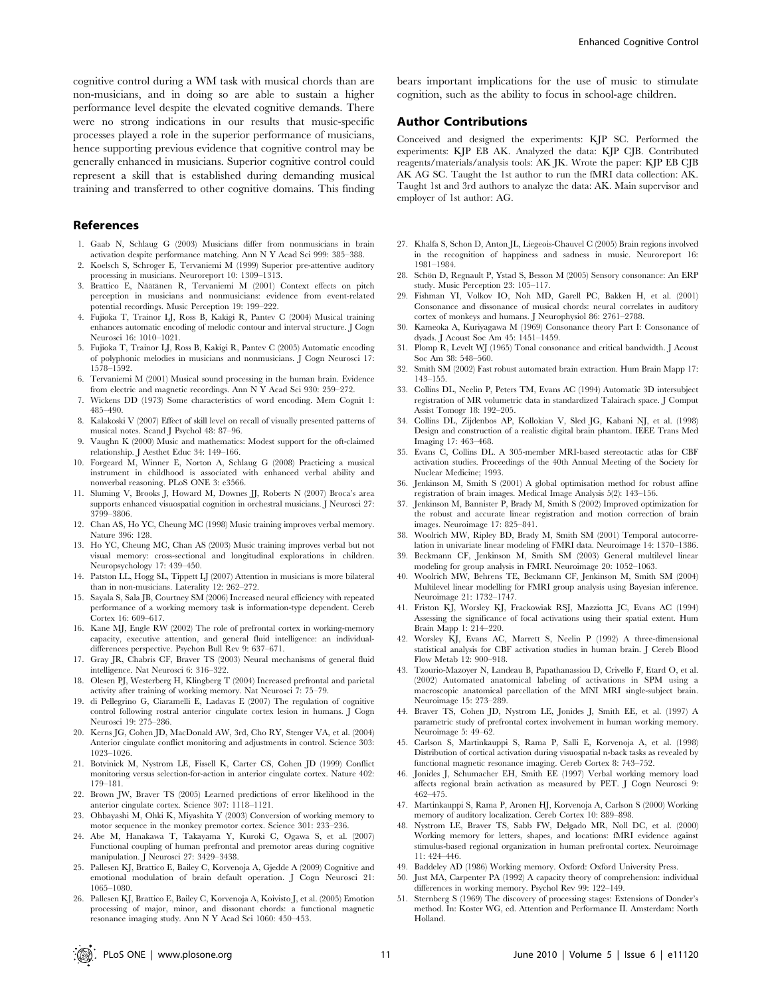cognitive control during a WM task with musical chords than are non-musicians, and in doing so are able to sustain a higher performance level despite the elevated cognitive demands. There were no strong indications in our results that music-specific processes played a role in the superior performance of musicians, hence supporting previous evidence that cognitive control may be generally enhanced in musicians. Superior cognitive control could represent a skill that is established during demanding musical training and transferred to other cognitive domains. This finding

# References

- 1. Gaab N, Schlaug G (2003) Musicians differ from nonmusicians in brain activation despite performance matching. Ann N Y Acad Sci 999: 385–388.
- 2. Koelsch S, Schroger E, Tervaniemi M (1999) Superior pre-attentive auditory processing in musicians. Neuroreport 10: 1309–1313.
- 3. Brattico E, Näätänen R, Tervaniemi M (2001) Context effects on pitch perception in musicians and nonmusicians: evidence from event-related potential recordings. Music Perception 19: 199–222.
- 4. Fujioka T, Trainor LJ, Ross B, Kakigi R, Pantev C (2004) Musical training enhances automatic encoding of melodic contour and interval structure. J Cogn Neurosci 16: 1010–1021.
- 5. Fujioka T, Trainor LJ, Ross B, Kakigi R, Pantev C (2005) Automatic encoding of polyphonic melodies in musicians and nonmusicians. J Cogn Neurosci 17: 1578–1592.
- 6. Tervaniemi M (2001) Musical sound processing in the human brain. Evidence from electric and magnetic recordings. Ann N Y Acad Sci 930: 259–272.
- 7. Wickens DD (1973) Some characteristics of word encoding. Mem Cognit 1: 485–490.
- 8. Kalakoski V (2007) Effect of skill level on recall of visually presented patterns of musical notes. Scand J Psychol 48: 87–96.
- 9. Vaughn K (2000) Music and mathematics: Modest support for the oft-claimed relationship. J Aesthet Educ 34: 149–166.
- 10. Forgeard M, Winner E, Norton A, Schlaug G (2008) Practicing a musical instrument in childhood is associated with enhanced verbal ability and nonverbal reasoning. PLoS ONE 3: e3566.
- 11. Sluming V, Brooks J, Howard M, Downes JJ, Roberts N (2007) Broca's area supports enhanced visuospatial cognition in orchestral musicians. J Neurosci 27: 3799–3806.
- 12. Chan AS, Ho YC, Cheung MC (1998) Music training improves verbal memory. Nature 396: 128.
- 13. Ho YC, Cheung MC, Chan AS (2003) Music training improves verbal but not visual memory: cross-sectional and longitudinal explorations in children. Neuropsychology 17: 439–450.
- 14. Patston LL, Hogg SL, Tippett LJ (2007) Attention in musicians is more bilateral than in non-musicians. Laterality 12: 262–272.
- 15. Sayala S, Sala JB, Courtney SM (2006) Increased neural efficiency with repeated performance of a working memory task is information-type dependent. Cereb .<br>Cortex 16: 609–617.
- 16. Kane MJ, Engle RW (2002) The role of prefrontal cortex in working-memory capacity, executive attention, and general fluid intelligence: an individualdifferences perspective. Psychon Bull Rev 9: 637–671.
- 17. Gray JR, Chabris CF, Braver TS (2003) Neural mechanisms of general fluid intelligence. Nat Neurosci 6: 316–322.
- 18. Olesen PJ, Westerberg H, Klingberg T (2004) Increased prefrontal and parietal activity after training of working memory. Nat Neurosci 7: 75–79.
- 19. di Pellegrino G, Ciaramelli E, Ladavas E (2007) The regulation of cognitive control following rostral anterior cingulate cortex lesion in humans. J Cogn Neurosci 19: 275–286.
- 20. Kerns JG, Cohen JD, MacDonald AW, 3rd, Cho RY, Stenger VA, et al. (2004) Anterior cingulate conflict monitoring and adjustments in control. Science 303: 1023–1026.
- 21. Botvinick M, Nystrom LE, Fissell K, Carter CS, Cohen JD (1999) Conflict monitoring versus selection-for-action in anterior cingulate cortex. Nature 402: 179–181.
- 22. Brown JW, Braver TS (2005) Learned predictions of error likelihood in the anterior cingulate cortex. Science 307: 1118–1121.
- 23. Ohbayashi M, Ohki K, Miyashita Y (2003) Conversion of working memory to motor sequence in the monkey premotor cortex. Science 301: 233–236.
- 24. Abe M, Hanakawa T, Takayama Y, Kuroki C, Ogawa S, et al. (2007) Functional coupling of human prefrontal and premotor areas during cognitive manipulation. J Neurosci 27: 3429–3438.
- 25. Pallesen KJ, Brattico E, Bailey C, Korvenoja A, Gjedde A (2009) Cognitive and emotional modulation of brain default operation. J Cogn Neurosci 21: 1065–1080.
- 26. Pallesen KJ, Brattico E, Bailey C, Korvenoja A, Koivisto J, et al. (2005) Emotion processing of major, minor, and dissonant chords: a functional magnetic resonance imaging study. Ann N Y Acad Sci 1060: 450–453.

bears important implications for the use of music to stimulate cognition, such as the ability to focus in school-age children.

# Author Contributions

Conceived and designed the experiments: KJP SC. Performed the experiments: KJP EB AK. Analyzed the data: KJP CJB. Contributed reagents/materials/analysis tools: AK JK. Wrote the paper: KJP EB CJB AK AG SC. Taught the 1st author to run the fMRI data collection: AK. Taught 1st and 3rd authors to analyze the data: AK. Main supervisor and employer of 1st author: AG.

- 27. Khalfa S, Schon D, Anton JL, Liegeois-Chauvel C (2005) Brain regions involved in the recognition of happiness and sadness in music. Neuroreport 16: 1981–1984.
- 28. Schön D, Regnault P, Ystad S, Besson M (2005) Sensory consonance: An ERP study. Music Perception 23: 105–117.
- 29. Fishman YI, Volkov IO, Noh MD, Garell PC, Bakken H, et al. (2001) Consonance and dissonance of musical chords: neural correlates in auditory cortex of monkeys and humans. J Neurophysiol 86: 2761–2788.
- 30. Kameoka A, Kuriyagawa M (1969) Consonance theory Part I: Consonance of dyads. J Acoust Soc Am 45: 1451–1459.
- 31. Plomp R, Levelt WJ (1965) Tonal consonance and critical bandwidth. J Acoust Soc Am 38: 548–560.
- 32. Smith SM (2002) Fast robust automated brain extraction. Hum Brain Mapp 17: 143–155.
- 33. Collins DL, Neelin P, Peters TM, Evans AC (1994) Automatic 3D intersubject registration of MR volumetric data in standardized Talairach space. J Comput Assist Tomogr 18: 192–205.
- 34. Collins DL, Zijdenbos AP, Kollokian V, Sled JG, Kabani NJ, et al. (1998) Design and construction of a realistic digital brain phantom. IEEE Trans Med Imaging 17: 463–468.
- 35. Evans C, Collins DL. A 305-member MRI-based stereotactic atlas for CBF activation studies. Proceedings of the 40th Annual Meeting of the Society for Nuclear Medicine; 1993.
- 36. Jenkinson M, Smith S (2001) A global optimisation method for robust affine registration of brain images. Medical Image Analysis 5(2): 143–156.
- 37. Jenkinson M, Bannister P, Brady M, Smith S (2002) Improved optimization for the robust and accurate linear registration and motion correction of brain images. Neuroimage 17: 825–841.
- 38. Woolrich MW, Ripley BD, Brady M, Smith SM (2001) Temporal autocorrelation in univariate linear modeling of FMRI data. Neuroimage 14: 1370–1386.
- 39. Beckmann CF, Jenkinson M, Smith SM (2003) General multilevel linear modeling for group analysis in FMRI. Neuroimage 20: 1052–1063.
- 40. Woolrich MW, Behrens TE, Beckmann CF, Jenkinson M, Smith SM (2004) Multilevel linear modelling for FMRI group analysis using Bayesian inference. Neuroimage 21: 1732–1747.
- 41. Friston KJ, Worsley KJ, Frackowiak RSJ, Mazziotta JC, Evans AC (1994) Assessing the significance of focal activations using their spatial extent. Hum Brain Mapp 1: 214–220.
- 42. Worsley KJ, Evans AC, Marrett S, Neelin P (1992) A three-dimensional statistical analysis for CBF activation studies in human brain. J Cereb Blood Flow Metab 12: 900–918.
- 43. Tzourio-Mazoyer N, Landeau B, Papathanassiou D, Crivello F, Etard O, et al. (2002) Automated anatomical labeling of activations in SPM using a macroscopic anatomical parcellation of the MNI MRI single-subject brain. Neuroimage 15: 273–289.
- 44. Braver TS, Cohen JD, Nystrom LE, Jonides J, Smith EE, et al. (1997) A parametric study of prefrontal cortex involvement in human working memory. Neuroimage 5: 49–62.
- 45. Carlson S, Martinkauppi S, Rama P, Salli E, Korvenoja A, et al. (1998) Distribution of cortical activation during visuospatial n-back tasks as revealed by functional magnetic resonance imaging. Cereb Cortex 8: 743–752.
- 46. Jonides J, Schumacher EH, Smith EE (1997) Verbal working memory load affects regional brain activation as measured by PET. J Cogn Neurosci 9: 462–475.
- 47. Martinkauppi S, Rama P, Aronen HJ, Korvenoja A, Carlson S (2000) Working memory of auditory localization. Cereb Cortex 10: 889–898.
- 48. Nystrom LE, Braver TS, Sabb FW, Delgado MR, Noll DC, et al. (2000) Working memory for letters, shapes, and locations: fMRI evidence against stimulus-based regional organization in human prefrontal cortex. Neuroimage 11: 424–446.
- 49. Baddeley AD (1986) Working memory. Oxford: Oxford University Press.
- 50. Just MA, Carpenter PA (1992) A capacity theory of comprehension: individual differences in working memory. Psychol Rev 99: 122–149.
- 51. Sternberg S (1969) The discovery of processing stages: Extensions of Donder's method. In: Koster WG, ed. Attention and Performance II. Amsterdam: North Holland.